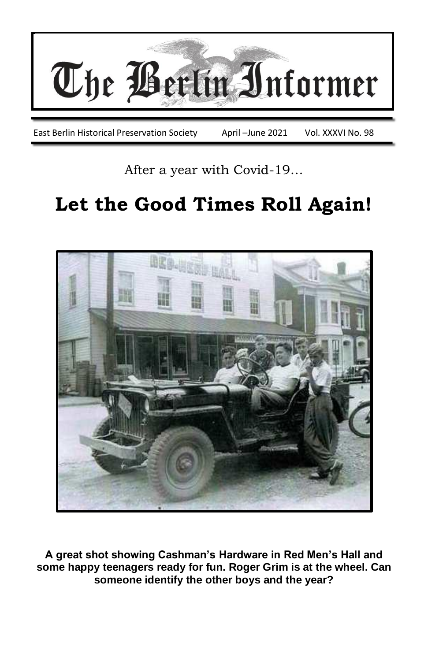

After a year with Covid-19…

# **Let the Good Times Roll Again!**



**A great shot showing Cashman's Hardware in Red Men's Hall and some happy teenagers ready for fun. Roger Grim is at the wheel. Can someone identify the other boys and the year?**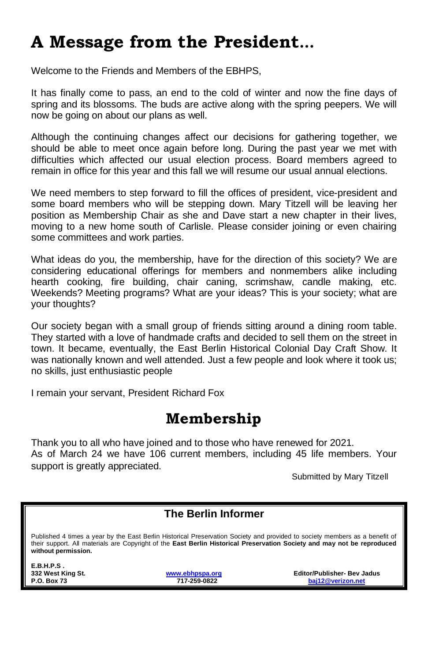# **A Message from the President…**

Welcome to the Friends and Members of the EBHPS,

It has finally come to pass, an end to the cold of winter and now the fine days of spring and its blossoms. The buds are active along with the spring peepers. We will now be going on about our plans as well.

Although the continuing changes affect our decisions for gathering together, we should be able to meet once again before long. During the past year we met with difficulties which affected our usual election process. Board members agreed to remain in office for this year and this fall we will resume our usual annual elections.

We need members to step forward to fill the offices of president, vice-president and some board members who will be stepping down. Mary Titzell will be leaving her position as Membership Chair as she and Dave start a new chapter in their lives, moving to a new home south of Carlisle. Please consider joining or even chairing some committees and work parties.

What ideas do you, the membership, have for the direction of this society? We are considering educational offerings for members and nonmembers alike including hearth cooking, fire building, chair caning, scrimshaw, candle making, etc. Weekends? Meeting programs? What are your ideas? This is your society; what are your thoughts?

Our society began with a small group of friends sitting around a dining room table. They started with a love of handmade crafts and decided to sell them on the street in town. It became, eventually, the East Berlin Historical Colonial Day Craft Show. It was nationally known and well attended. Just a few people and look where it took us; no skills, just enthusiastic people

I remain your servant, President Richard Fox

#### **Membership**

Thank you to all who have joined and to those who have renewed for 2021. As of March 24 we have 106 current members, including 45 life members. Your support is greatly appreciated.

Submitted by Mary Titzell

#### **The Berlin Informer**

Published 4 times a year by the East Berlin Historical Preservation Society and provided to society members as a benefit of their support. All materials are Copyright of the **East Berlin Historical Preservation Society and may not be reproduced without permission.**

**E.B.H.P.S .** 

**332 West King St. [www.ebhpspa.org](http://www.ebhpspa.org/) Editor/Publisher- Bev Jadus P.O. Box 73 717-259-0822 [baj12@verizon.net](mailto:baj12@verizon.net)**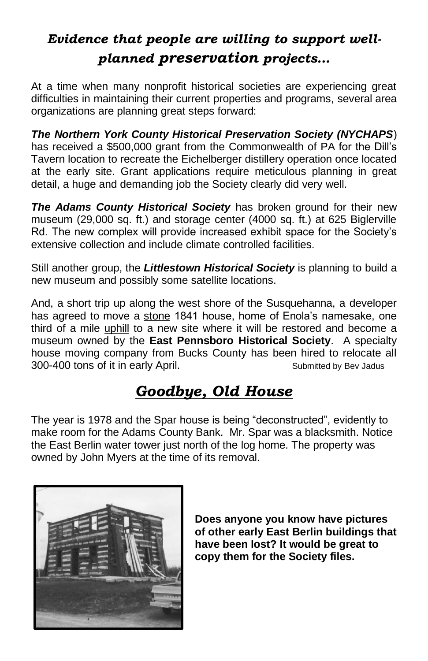## *Evidence that people are willing to support wellplanned preservation projects…*

At a time when many nonprofit historical societies are experiencing great difficulties in maintaining their current properties and programs, several area organizations are planning great steps forward:

*The Northern York County Historical Preservation Society (NYCHAPS*) has received a \$500,000 grant from the Commonwealth of PA for the Dill's Tavern location to recreate the Eichelberger distillery operation once located at the early site. Grant applications require meticulous planning in great detail, a huge and demanding job the Society clearly did very well.

*The Adams County Historical Society* has broken ground for their new museum (29,000 sq. ft.) and storage center (4000 sq. ft.) at 625 Biglerville Rd. The new complex will provide increased exhibit space for the Society's extensive collection and include climate controlled facilities.

Still another group, the *Littlestown Historical Society* is planning to build a new museum and possibly some satellite locations.

And, a short trip up along the west shore of the Susquehanna, a developer has agreed to move a stone 1841 house, home of Enola's namesake, one third of a mile uphill to a new site where it will be restored and become a museum owned by the **East Pennsboro Historical Society**. A specialty house moving company from Bucks County has been hired to relocate all 300-400 tons of it in early April. Submitted by Bev Jadus

## *Goodbye, Old House*

The year is 1978 and the Spar house is being "deconstructed", evidently to make room for the Adams County Bank. Mr. Spar was a blacksmith. Notice the East Berlin water tower just north of the log home. The property was owned by John Myers at the time of its removal.



**Does anyone you know have pictures of other early East Berlin buildings that have been lost? It would be great to copy them for the Society files.**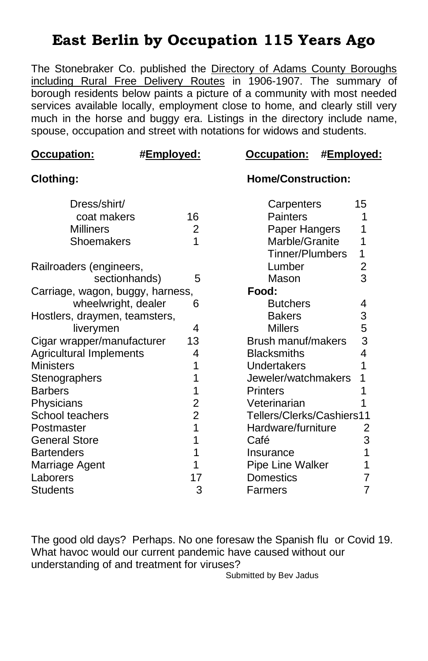#### **East Berlin by Occupation 115 Years Ago**

The Stonebraker Co. published the Directory of Adams County Boroughs including Rural Free Delivery Routes in 1906-1907. The summary of borough residents below paints a picture of a community with most needed services available locally, employment close to home, and clearly still very much in the horse and buggy era. Listings in the directory include name, spouse, occupation and street with notations for widows and students.

| Occupation:                      | #Employed:      | Occupation:<br>#Employed: |    |
|----------------------------------|-----------------|---------------------------|----|
| <b>Clothing:</b>                 |                 | <b>Home/Construction:</b> |    |
| Dress/shirt/                     |                 | Carpenters                | 15 |
| coat makers                      | 16              | Painters                  |    |
| <b>Milliners</b>                 | 2               | Paper Hangers<br>1        |    |
| Shoemakers                       | 1               | Marble/Granite<br>1       |    |
|                                  |                 | Tinner/Plumbers           | 1  |
| Railroaders (engineers,          |                 | Lumber                    | 2  |
| sectionhands)                    | 5               | Mason                     | 3  |
| Carriage, wagon, buggy, harness, |                 | Food:                     |    |
| wheelwright, dealer              | 6               | <b>Butchers</b>           | 4  |
| Hostlers, draymen, teamsters,    |                 | <b>Bakers</b>             | 3  |
| liverymen                        | 4               | <b>Millers</b>            | 5  |
| Cigar wrapper/manufacturer       | 13              | <b>Brush manuf/makers</b> | 3  |
| <b>Agricultural Implements</b>   | 4               | <b>Blacksmiths</b>        | 4  |
| <b>Ministers</b>                 |                 | Undertakers               | 1  |
| Stenographers                    |                 | Jeweler/watchmakers<br>1  |    |
| <b>Barbers</b><br>Printers<br>1  |                 |                           |    |
| Physicians                       | 2               | Veterinarian              |    |
| School teachers                  | $\overline{2}$  | Tellers/Clerks/Cashiers11 |    |
| Postmaster                       | 1               | Hardware/furniture<br>2   |    |
| <b>General Store</b>             | 1               | Café<br>3                 |    |
| <b>Bartenders</b>                |                 | 1<br>Insurance            |    |
| Marriage Agent                   | 1               | Pipe Line Walker<br>1     |    |
| Laborers                         | Domestics<br>17 |                           | 7  |
| <b>Students</b>                  | 3               | Farmers                   | 7  |

The good old days? Perhaps. No one foresaw the Spanish flu or Covid 19. What havoc would our current pandemic have caused without our understanding of and treatment for viruses?

Submitted by Bev Jadus